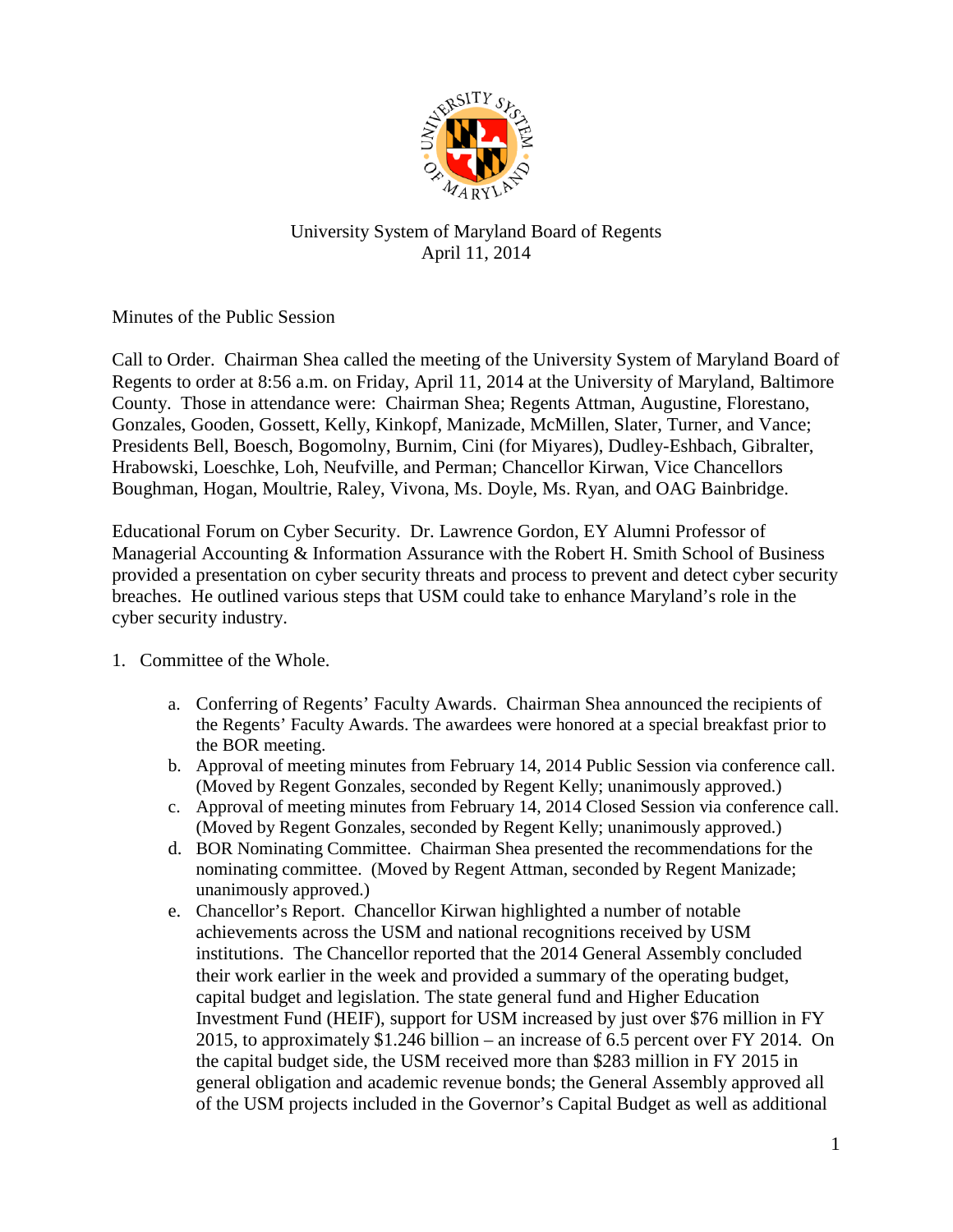

## University System of Maryland Board of Regents April 11, 2014

Minutes of the Public Session

Call to Order. Chairman Shea called the meeting of the University System of Maryland Board of Regents to order at 8:56 a.m. on Friday, April 11, 2014 at the University of Maryland, Baltimore County. Those in attendance were: Chairman Shea; Regents Attman, Augustine, Florestano, Gonzales, Gooden, Gossett, Kelly, Kinkopf, Manizade, McMillen, Slater, Turner, and Vance; Presidents Bell, Boesch, Bogomolny, Burnim, Cini (for Miyares), Dudley-Eshbach, Gibralter, Hrabowski, Loeschke, Loh, Neufville, and Perman; Chancellor Kirwan, Vice Chancellors Boughman, Hogan, Moultrie, Raley, Vivona, Ms. Doyle, Ms. Ryan, and OAG Bainbridge.

Educational Forum on Cyber Security. Dr. Lawrence Gordon, EY Alumni Professor of Managerial Accounting & Information Assurance with the Robert H. Smith School of Business provided a presentation on cyber security threats and process to prevent and detect cyber security breaches. He outlined various steps that USM could take to enhance Maryland's role in the cyber security industry.

- 1. Committee of the Whole.
	- a. Conferring of Regents' Faculty Awards. Chairman Shea announced the recipients of the Regents' Faculty Awards. The awardees were honored at a special breakfast prior to the BOR meeting.
	- b. Approval of meeting minutes from February 14, 2014 Public Session via conference call. (Moved by Regent Gonzales, seconded by Regent Kelly; unanimously approved.)
	- c. Approval of meeting minutes from February 14, 2014 Closed Session via conference call. (Moved by Regent Gonzales, seconded by Regent Kelly; unanimously approved.)
	- d. BOR Nominating Committee. Chairman Shea presented the recommendations for the nominating committee. (Moved by Regent Attman, seconded by Regent Manizade; unanimously approved.)
	- e. Chancellor's Report. Chancellor Kirwan highlighted a number of notable achievements across the USM and national recognitions received by USM institutions. The Chancellor reported that the 2014 General Assembly concluded their work earlier in the week and provided a summary of the operating budget, capital budget and legislation. The state general fund and Higher Education Investment Fund (HEIF), support for USM increased by just over \$76 million in FY 2015, to approximately \$1.246 billion – an increase of 6.5 percent over FY 2014. On the capital budget side, the USM received more than \$283 million in FY 2015 in general obligation and academic revenue bonds; the General Assembly approved all of the USM projects included in the Governor's Capital Budget as well as additional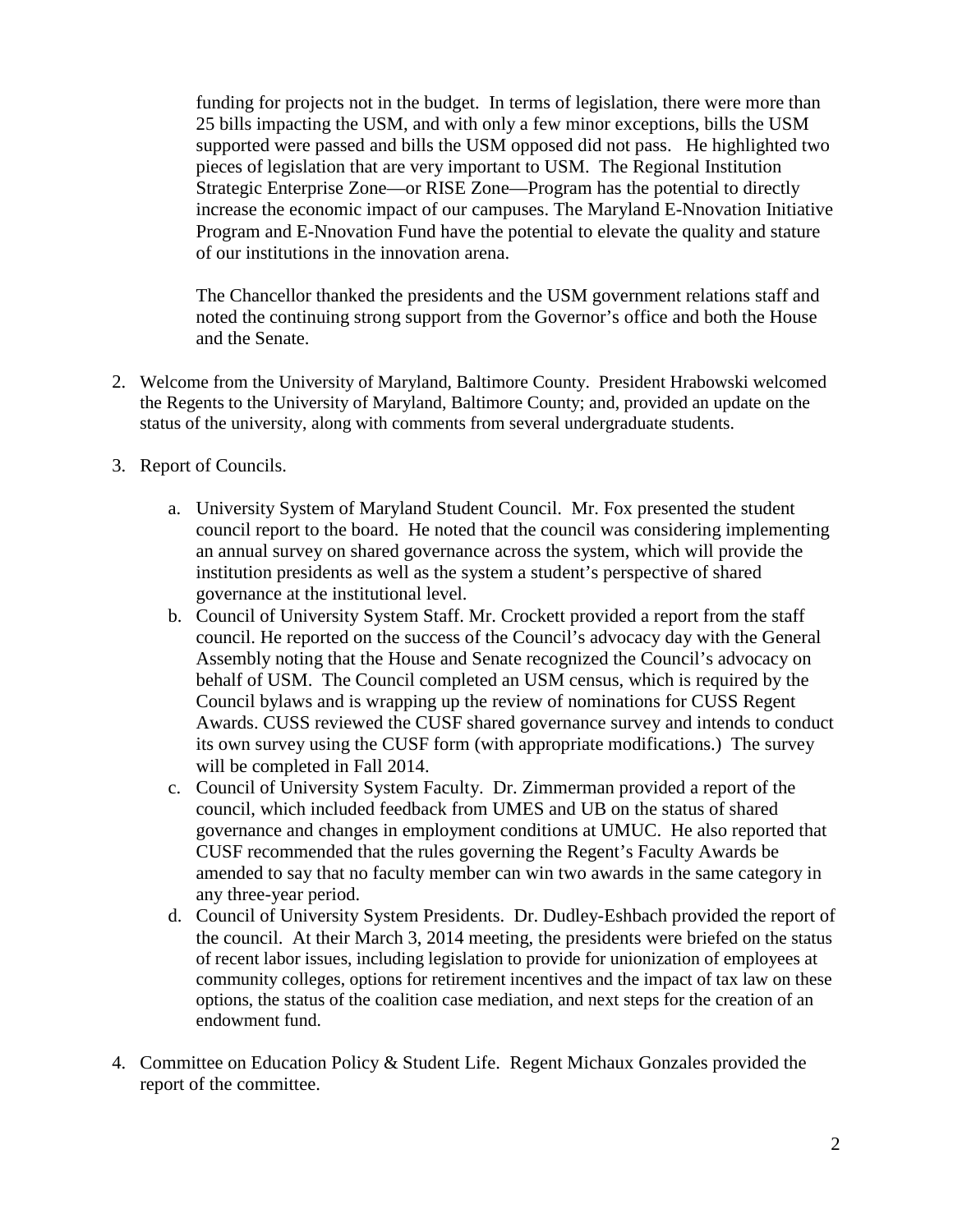funding for projects not in the budget. In terms of legislation, there were more than 25 bills impacting the USM, and with only a few minor exceptions, bills the USM supported were passed and bills the USM opposed did not pass. He highlighted two pieces of legislation that are very important to USM. The Regional Institution Strategic Enterprise Zone—or RISE Zone—Program has the potential to directly increase the economic impact of our campuses. The Maryland E-Nnovation Initiative Program and E-Nnovation Fund have the potential to elevate the quality and stature of our institutions in the innovation arena.

The Chancellor thanked the presidents and the USM government relations staff and noted the continuing strong support from the Governor's office and both the House and the Senate.

- 2. Welcome from the University of Maryland, Baltimore County. President Hrabowski welcomed the Regents to the University of Maryland, Baltimore County; and, provided an update on the status of the university, along with comments from several undergraduate students.
- 3. Report of Councils.
	- a. University System of Maryland Student Council. Mr. Fox presented the student council report to the board. He noted that the council was considering implementing an annual survey on shared governance across the system, which will provide the institution presidents as well as the system a student's perspective of shared governance at the institutional level.
	- b. Council of University System Staff. Mr. Crockett provided a report from the staff council. He reported on the success of the Council's advocacy day with the General Assembly noting that the House and Senate recognized the Council's advocacy on behalf of USM. The Council completed an USM census, which is required by the Council bylaws and is wrapping up the review of nominations for CUSS Regent Awards. CUSS reviewed the CUSF shared governance survey and intends to conduct its own survey using the CUSF form (with appropriate modifications.) The survey will be completed in Fall 2014.
	- c. Council of University System Faculty. Dr. Zimmerman provided a report of the council, which included feedback from UMES and UB on the status of shared governance and changes in employment conditions at UMUC. He also reported that CUSF recommended that the rules governing the Regent's Faculty Awards be amended to say that no faculty member can win two awards in the same category in any three-year period.
	- d. Council of University System Presidents. Dr. Dudley-Eshbach provided the report of the council. At their March 3, 2014 meeting, the presidents were briefed on the status of recent labor issues, including legislation to provide for unionization of employees at community colleges, options for retirement incentives and the impact of tax law on these options, the status of the coalition case mediation, and next steps for the creation of an endowment fund.
- 4. Committee on Education Policy & Student Life. Regent Michaux Gonzales provided the report of the committee.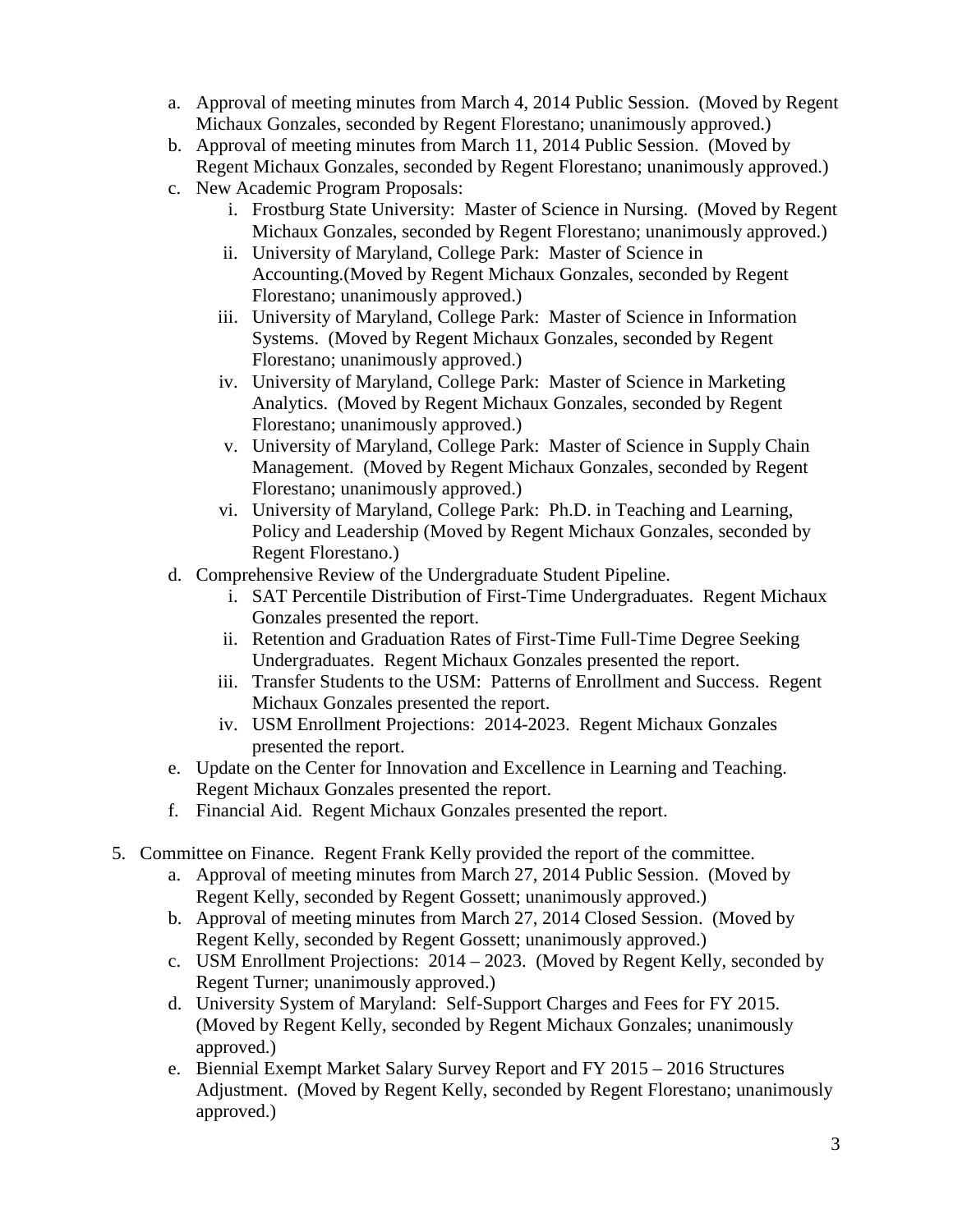- a. Approval of meeting minutes from March 4, 2014 Public Session. (Moved by Regent Michaux Gonzales, seconded by Regent Florestano; unanimously approved.)
- b. Approval of meeting minutes from March 11, 2014 Public Session. (Moved by Regent Michaux Gonzales, seconded by Regent Florestano; unanimously approved.)
- c. New Academic Program Proposals:
	- i. Frostburg State University: Master of Science in Nursing. (Moved by Regent Michaux Gonzales, seconded by Regent Florestano; unanimously approved.)
	- ii. University of Maryland, College Park: Master of Science in Accounting.(Moved by Regent Michaux Gonzales, seconded by Regent Florestano; unanimously approved.)
	- iii. University of Maryland, College Park: Master of Science in Information Systems. (Moved by Regent Michaux Gonzales, seconded by Regent Florestano; unanimously approved.)
	- iv. University of Maryland, College Park: Master of Science in Marketing Analytics. (Moved by Regent Michaux Gonzales, seconded by Regent Florestano; unanimously approved.)
	- v. University of Maryland, College Park: Master of Science in Supply Chain Management. (Moved by Regent Michaux Gonzales, seconded by Regent Florestano; unanimously approved.)
	- vi. University of Maryland, College Park: Ph.D. in Teaching and Learning, Policy and Leadership (Moved by Regent Michaux Gonzales, seconded by Regent Florestano.)
- d. Comprehensive Review of the Undergraduate Student Pipeline.
	- i. SAT Percentile Distribution of First-Time Undergraduates. Regent Michaux Gonzales presented the report.
	- ii. Retention and Graduation Rates of First-Time Full-Time Degree Seeking Undergraduates. Regent Michaux Gonzales presented the report.
	- iii. Transfer Students to the USM: Patterns of Enrollment and Success. Regent Michaux Gonzales presented the report.
	- iv. USM Enrollment Projections: 2014-2023. Regent Michaux Gonzales presented the report.
- e. Update on the Center for Innovation and Excellence in Learning and Teaching. Regent Michaux Gonzales presented the report.
- f. Financial Aid. Regent Michaux Gonzales presented the report.
- 5. Committee on Finance. Regent Frank Kelly provided the report of the committee.
	- a. Approval of meeting minutes from March 27, 2014 Public Session. (Moved by Regent Kelly, seconded by Regent Gossett; unanimously approved.)
	- b. Approval of meeting minutes from March 27, 2014 Closed Session. (Moved by Regent Kelly, seconded by Regent Gossett; unanimously approved.)
	- c. USM Enrollment Projections: 2014 2023. (Moved by Regent Kelly, seconded by Regent Turner; unanimously approved.)
	- d. University System of Maryland: Self-Support Charges and Fees for FY 2015. (Moved by Regent Kelly, seconded by Regent Michaux Gonzales; unanimously approved.)
	- e. Biennial Exempt Market Salary Survey Report and FY 2015 2016 Structures Adjustment. (Moved by Regent Kelly, seconded by Regent Florestano; unanimously approved.)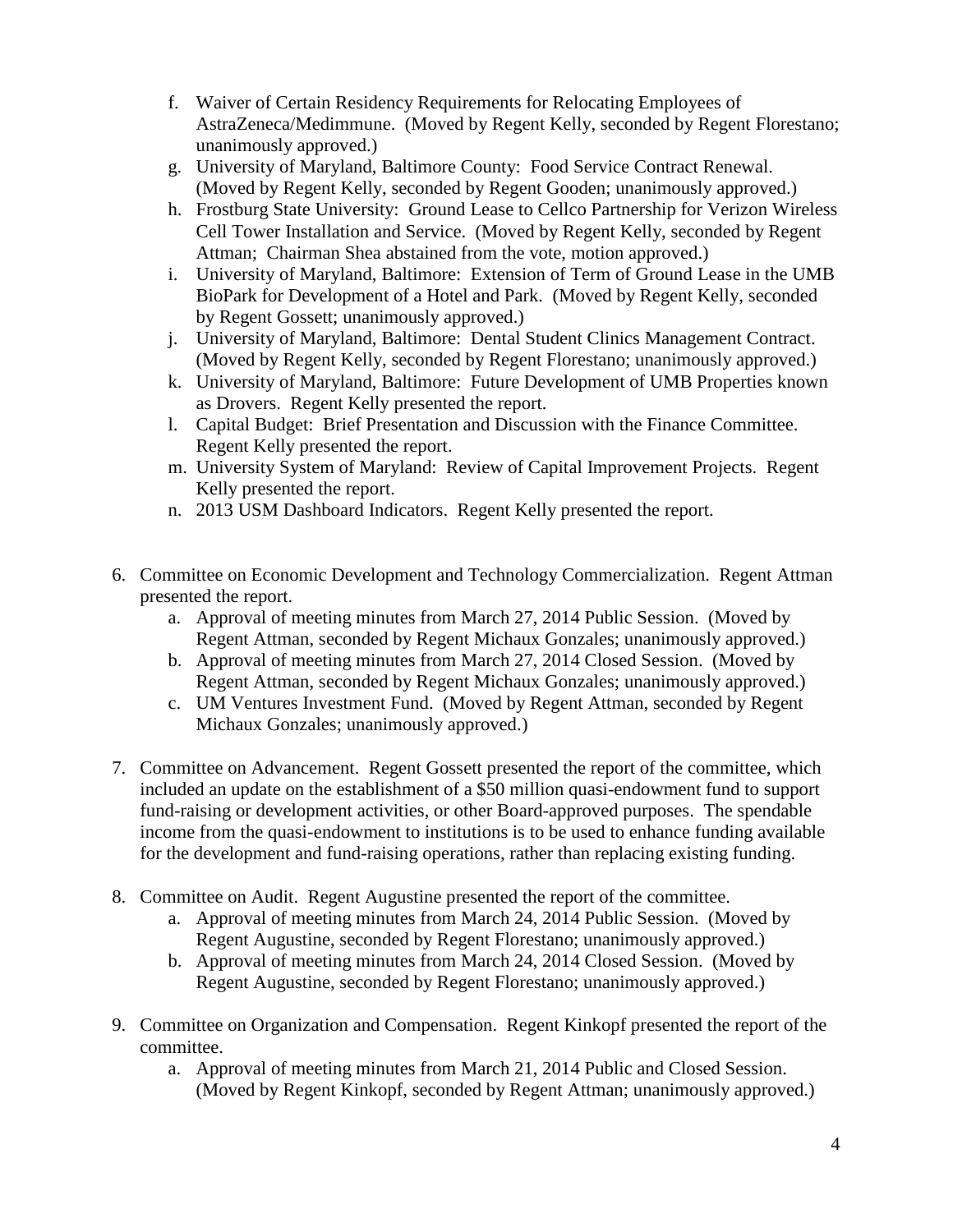- f. Waiver of Certain Residency Requirements for Relocating Employees of AstraZeneca/Medimmune. (Moved by Regent Kelly, seconded by Regent Florestano; unanimously approved.)
- g. University of Maryland, Baltimore County: Food Service Contract Renewal. (Moved by Regent Kelly, seconded by Regent Gooden; unanimously approved.)
- h. Frostburg State University: Ground Lease to Cellco Partnership for Verizon Wireless Cell Tower Installation and Service. (Moved by Regent Kelly, seconded by Regent Attman; Chairman Shea abstained from the vote, motion approved.)
- i. University of Maryland, Baltimore: Extension of Term of Ground Lease in the UMB BioPark for Development of a Hotel and Park. (Moved by Regent Kelly, seconded by Regent Gossett; unanimously approved.)
- j. University of Maryland, Baltimore: Dental Student Clinics Management Contract. (Moved by Regent Kelly, seconded by Regent Florestano; unanimously approved.)
- k. University of Maryland, Baltimore: Future Development of UMB Properties known as Drovers. Regent Kelly presented the report.
- l. Capital Budget: Brief Presentation and Discussion with the Finance Committee. Regent Kelly presented the report.
- m. University System of Maryland: Review of Capital Improvement Projects. Regent Kelly presented the report.
- n. 2013 USM Dashboard Indicators. Regent Kelly presented the report.
- 6. Committee on Economic Development and Technology Commercialization. Regent Attman presented the report.
	- a. Approval of meeting minutes from March 27, 2014 Public Session. (Moved by Regent Attman, seconded by Regent Michaux Gonzales; unanimously approved.)
	- b. Approval of meeting minutes from March 27, 2014 Closed Session. (Moved by Regent Attman, seconded by Regent Michaux Gonzales; unanimously approved.)
	- c. UM Ventures Investment Fund. (Moved by Regent Attman, seconded by Regent Michaux Gonzales; unanimously approved.)
- 7. Committee on Advancement. Regent Gossett presented the report of the committee, which included an update on the establishment of a \$50 million quasi-endowment fund to support fund-raising or development activities, or other Board-approved purposes. The spendable income from the quasi-endowment to institutions is to be used to enhance funding available for the development and fund-raising operations, rather than replacing existing funding.
- 8. Committee on Audit. Regent Augustine presented the report of the committee.
	- a. Approval of meeting minutes from March 24, 2014 Public Session. (Moved by Regent Augustine, seconded by Regent Florestano; unanimously approved.)
	- b. Approval of meeting minutes from March 24, 2014 Closed Session. (Moved by Regent Augustine, seconded by Regent Florestano; unanimously approved.)
- 9. Committee on Organization and Compensation. Regent Kinkopf presented the report of the committee.
	- a. Approval of meeting minutes from March 21, 2014 Public and Closed Session. (Moved by Regent Kinkopf, seconded by Regent Attman; unanimously approved.)